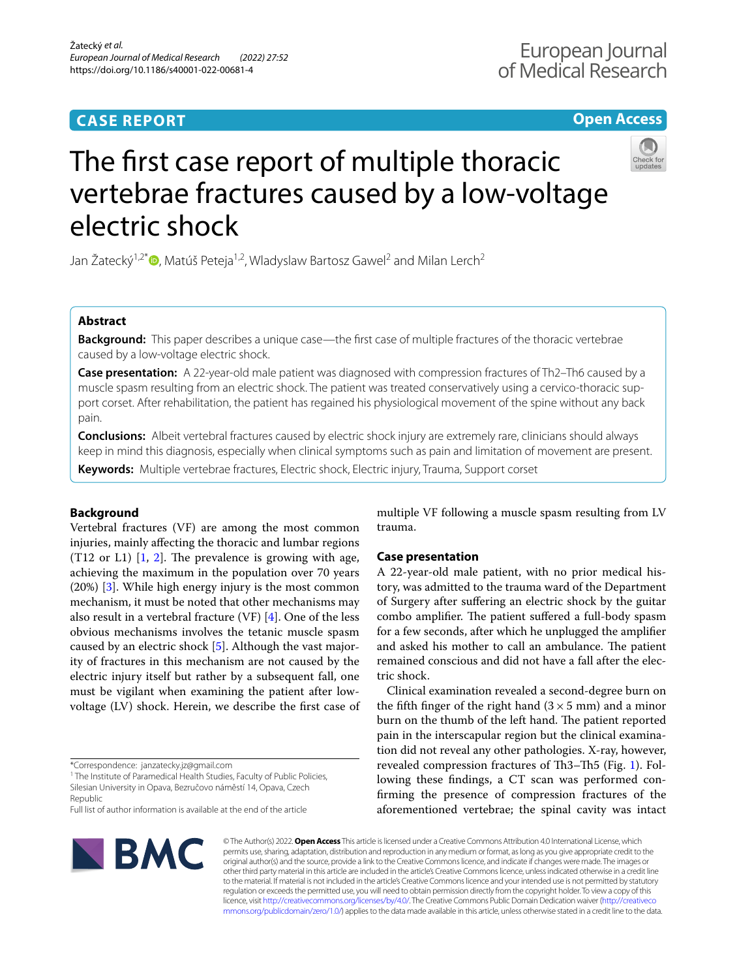# **CASE REPORT**

# **Open Access**



# The frst case report of multiple thoracic vertebrae fractures caused by a low-voltage electric shock

Jan Žatecký<sup>1,2\*</sup> $\bullet$ [,](http://orcid.org/0000-0002-0415-0853) Matúš Peteja<sup>1,2</sup>, Wladyslaw Bartosz Gawel<sup>2</sup> and Milan Lerch<sup>2</sup>

# **Abstract**

**Background:** This paper describes a unique case—the first case of multiple fractures of the thoracic vertebrae caused by a low-voltage electric shock.

**Case presentation:** A 22-year-old male patient was diagnosed with compression fractures of Th2–Th6 caused by a muscle spasm resulting from an electric shock. The patient was treated conservatively using a cervico-thoracic support corset. After rehabilitation, the patient has regained his physiological movement of the spine without any back pain.

**Conclusions:** Albeit vertebral fractures caused by electric shock injury are extremely rare, clinicians should always keep in mind this diagnosis, especially when clinical symptoms such as pain and limitation of movement are present.

**Keywords:** Multiple vertebrae fractures, Electric shock, Electric injury, Trauma, Support corset

# **Background**

Vertebral fractures (VF) are among the most common injuries, mainly afecting the thoracic and lumbar regions  $(T12 \text{ or } L1)$  $(T12 \text{ or } L1)$  $(T12 \text{ or } L1)$  [\[1](#page-3-0), 2]. The prevalence is growing with age, achieving the maximum in the population over 70 years (20%) [[3\]](#page-3-2). While high energy injury is the most common mechanism, it must be noted that other mechanisms may also result in a vertebral fracture (VF) [[4\]](#page-3-3). One of the less obvious mechanisms involves the tetanic muscle spasm caused by an electric shock [\[5](#page-3-4)]. Although the vast majority of fractures in this mechanism are not caused by the electric injury itself but rather by a subsequent fall, one must be vigilant when examining the patient after lowvoltage (LV) shock. Herein, we describe the frst case of

\*Correspondence: janzatecky.jz@gmail.com

<sup>1</sup> The Institute of Paramedical Health Studies, Faculty of Public Policies, Silesian University in Opava, Bezručovo náměstí 14, Opava, Czech Republic

Full list of author information is available at the end of the article

multiple VF following a muscle spasm resulting from LV trauma.

## **Case presentation**

A 22-year-old male patient, with no prior medical history, was admitted to the trauma ward of the Department of Surgery after sufering an electric shock by the guitar combo amplifier. The patient suffered a full-body spasm for a few seconds, after which he unplugged the amplifer and asked his mother to call an ambulance. The patient remained conscious and did not have a fall after the electric shock.

Clinical examination revealed a second-degree burn on the fifth finger of the right hand  $(3 \times 5 \text{ mm})$  and a minor burn on the thumb of the left hand. The patient reported pain in the interscapular region but the clinical examination did not reveal any other pathologies. X-ray, however, revealed compression fractures of Th3 $-$ Th5 (Fig. [1\)](#page-1-0). Following these fndings, a CT scan was performed confrming the presence of compression fractures of the aforementioned vertebrae; the spinal cavity was intact



© The Author(s) 2022. **Open Access** This article is licensed under a Creative Commons Attribution 4.0 International License, which permits use, sharing, adaptation, distribution and reproduction in any medium or format, as long as you give appropriate credit to the original author(s) and the source, provide a link to the Creative Commons licence, and indicate if changes were made. The images or other third party material in this article are included in the article's Creative Commons licence, unless indicated otherwise in a credit line to the material. If material is not included in the article's Creative Commons licence and your intended use is not permitted by statutory regulation or exceeds the permitted use, you will need to obtain permission directly from the copyright holder. To view a copy of this licence, visit [http://creativecommons.org/licenses/by/4.0/.](http://creativecommons.org/licenses/by/4.0/) The Creative Commons Public Domain Dedication waiver ([http://creativeco](http://creativecommons.org/publicdomain/zero/1.0/) [mmons.org/publicdomain/zero/1.0/](http://creativecommons.org/publicdomain/zero/1.0/)) applies to the data made available in this article, unless otherwise stated in a credit line to the data.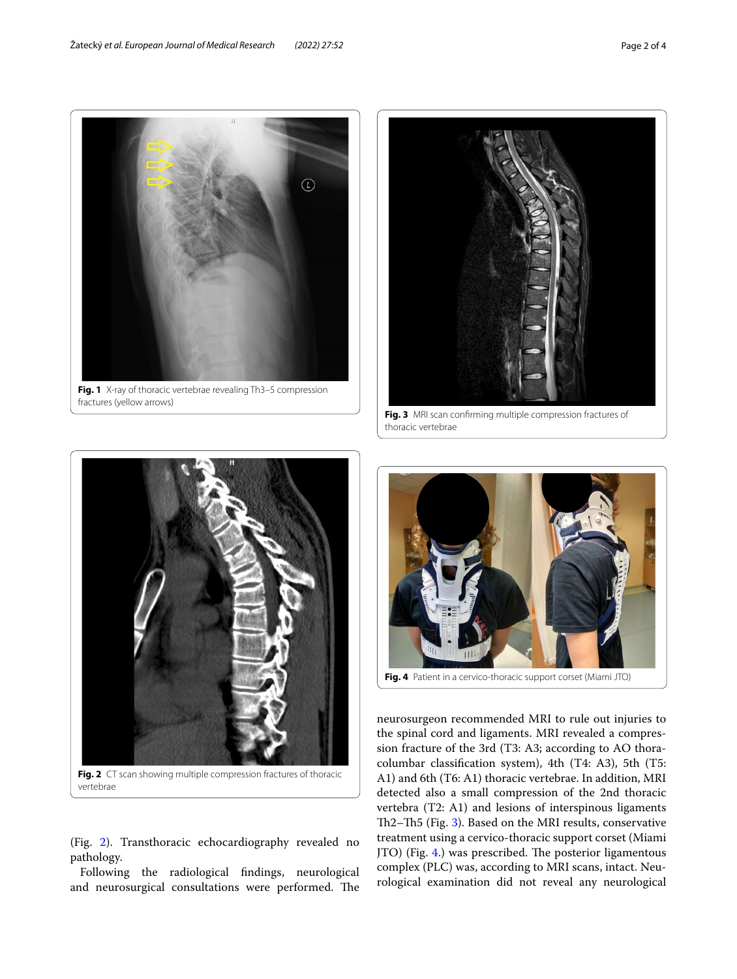

<span id="page-1-2"></span>

**Fig. 4** Patient in a cervico-thoracic support corset (Miami JTO)

<span id="page-1-3"></span>neurosurgeon recommended MRI to rule out injuries to the spinal cord and ligaments. MRI revealed a compression fracture of the 3rd (T3: A3; according to AO thoracolumbar classifcation system), 4th (T4: A3), 5th (T5: A1) and 6th (T6: A1) thoracic vertebrae. In addition, MRI detected also a small compression of the 2nd thoracic vertebra (T2: A1) and lesions of interspinous ligaments Th2–Th5 (Fig. [3](#page-1-2)). Based on the MRI results, conservative treatment using a cervico-thoracic support corset (Miami JTO) (Fig. [4](#page-1-3).) was prescribed. The posterior ligamentous complex (PLC) was, according to MRI scans, intact. Neurological examination did not reveal any neurological

<span id="page-1-0"></span>

<span id="page-1-1"></span>(Fig. [2\)](#page-1-1). Transthoracic echocardiography revealed no pathology.

Following the radiological fndings, neurological and neurosurgical consultations were performed. The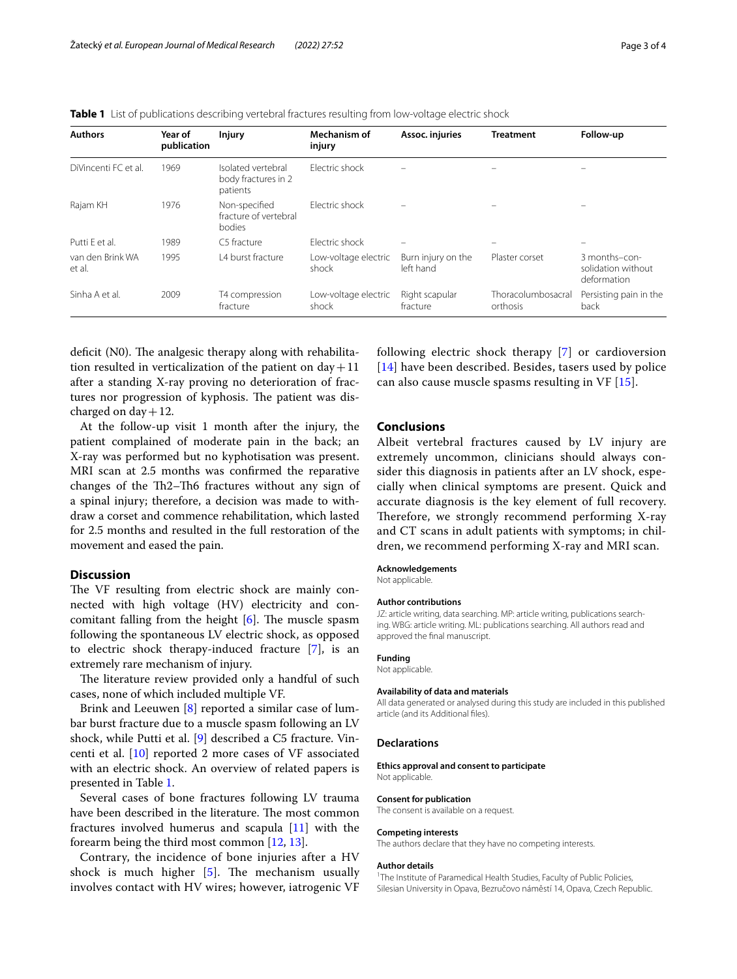<span id="page-2-0"></span>

|  |  |  |  |  | <b>Table 1</b> List of publications describing vertebral fractures resulting from low-voltage electric shock |
|--|--|--|--|--|--------------------------------------------------------------------------------------------------------------|
|--|--|--|--|--|--------------------------------------------------------------------------------------------------------------|

| <b>Authors</b>             | Year of<br>publication | <b>Injury</b>                                         | Mechanism of<br>injury        | Assoc. injuries                 | <b>Treatment</b>               | Follow-up                                          |
|----------------------------|------------------------|-------------------------------------------------------|-------------------------------|---------------------------------|--------------------------------|----------------------------------------------------|
| DiVincenti FC et al.       | 1969                   | Isolated vertebral<br>body fractures in 2<br>patients | Flectric shock                |                                 |                                |                                                    |
| Rajam KH                   | 1976                   | Non-specified<br>fracture of vertebral<br>bodies      | Flectric shock                |                                 |                                |                                                    |
| Putti F et al.             | 1989                   | C5 fracture                                           | Flectric shock                |                                 | $\overline{\phantom{0}}$       | $\overline{\phantom{0}}$                           |
| van den Brink WA<br>et al. | 1995                   | 14 burst fracture                                     | Low-voltage electric<br>shock | Burn injury on the<br>left hand | Plaster corset                 | 3 months-con-<br>solidation without<br>deformation |
| Sinha A et al.             | 2009                   | T4 compression<br>fracture                            | Low-voltage electric<br>shock | Right scapular<br>fracture      | Thoracolumbosacral<br>orthosis | Persisting pain in the<br>back                     |

deficit  $(N0)$ . The analgesic therapy along with rehabilitation resulted in verticalization of the patient on  $day+11$ after a standing X-ray proving no deterioration of fractures nor progression of kyphosis. The patient was discharged on day  $+12$ .

At the follow-up visit 1 month after the injury, the patient complained of moderate pain in the back; an X-ray was performed but no kyphotisation was present. MRI scan at 2.5 months was confrmed the reparative changes of the Th2-Th6 fractures without any sign of a spinal injury; therefore, a decision was made to withdraw a corset and commence rehabilitation, which lasted for 2.5 months and resulted in the full restoration of the movement and eased the pain.

# **Discussion**

The VF resulting from electric shock are mainly connected with high voltage (HV) electricity and concomitant falling from the height  $[6]$  $[6]$ . The muscle spasm following the spontaneous LV electric shock, as opposed to electric shock therapy-induced fracture [[7\]](#page-3-6), is an extremely rare mechanism of injury.

The literature review provided only a handful of such cases, none of which included multiple VF.

Brink and Leeuwen [\[8](#page-3-7)] reported a similar case of lumbar burst fracture due to a muscle spasm following an LV shock, while Putti et al. [[9](#page-3-8)] described a C5 fracture. Vincenti et al. [\[10](#page-3-9)] reported 2 more cases of VF associated with an electric shock. An overview of related papers is presented in Table [1](#page-2-0).

Several cases of bone fractures following LV trauma have been described in the literature. The most common fractures involved humerus and scapula [[11](#page-3-10)] with the forearm being the third most common [\[12](#page-3-11), [13\]](#page-3-12).

Contrary, the incidence of bone injuries after a HV shock is much higher  $[5]$  $[5]$ . The mechanism usually involves contact with HV wires; however, iatrogenic VF following electric shock therapy [\[7](#page-3-6)] or cardioversion [[14](#page-3-13)] have been described. Besides, tasers used by police can also cause muscle spasms resulting in VF [\[15](#page-3-14)].

## **Conclusions**

Albeit vertebral fractures caused by LV injury are extremely uncommon, clinicians should always consider this diagnosis in patients after an LV shock, especially when clinical symptoms are present. Quick and accurate diagnosis is the key element of full recovery. Therefore, we strongly recommend performing X-ray and CT scans in adult patients with symptoms; in children, we recommend performing X-ray and MRI scan.

#### **Acknowledgements**

Not applicable.

#### **Author contributions**

JZ: article writing, data searching. MP: article writing, publications searching. WBG: article writing. ML: publications searching. All authors read and approved the fnal manuscript.

#### **Funding**

Not applicable.

#### **Availability of data and materials**

All data generated or analysed during this study are included in this published article (and its Additional fles).

#### **Declarations**

#### **Ethics approval and consent to participate**

Not applicable.

#### **Consent for publication**

The consent is available on a request.

#### **Competing interests**

The authors declare that they have no competing interests.

#### **Author details**

<sup>1</sup>The Institute of Paramedical Health Studies, Faculty of Public Policies, Silesian University in Opava, Bezručovo náměstí 14, Opava, Czech Republic.